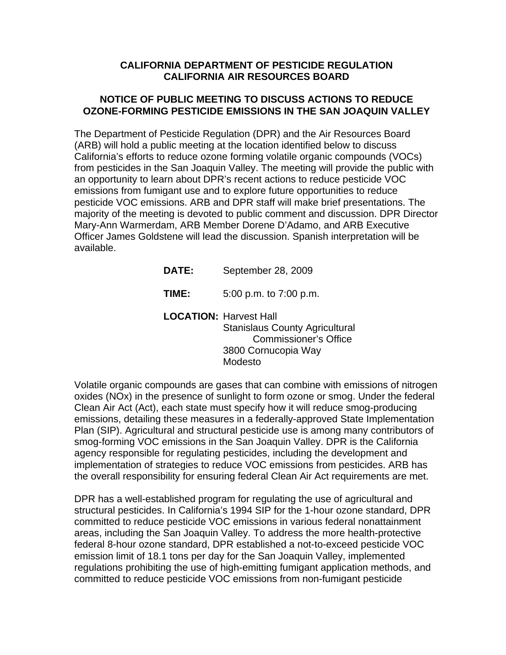## **CALIFORNIA DEPARTMENT OF PESTICIDE REGULATION CALIFORNIA AIR RESOURCES BOARD**

## **NOTICE OF PUBLIC MEETING TO DISCUSS ACTIONS TO REDUCE OZONE-FORMING PESTICIDE EMISSIONS IN THE SAN JOAQUIN VALLEY**

The Department of Pesticide Regulation (DPR) and the Air Resources Board (ARB) will hold a public meeting at the location identified below to discuss California's efforts to reduce ozone forming volatile organic compounds (VOCs) from pesticides in the San Joaquin Valley. The meeting will provide the public with an opportunity to learn about DPR's recent actions to reduce pesticide VOC emissions from fumigant use and to explore future opportunities to reduce pesticide VOC emissions. ARB and DPR staff will make brief presentations. The majority of the meeting is devoted to public comment and discussion. DPR Director Mary-Ann Warmerdam, ARB Member Dorene D'Adamo, and ARB Executive Officer James Goldstene will lead the discussion. Spanish interpretation will be available.

| <b>DATE:</b>                  | September 28, 2009                                                                                      |
|-------------------------------|---------------------------------------------------------------------------------------------------------|
| TIME:                         | 5:00 p.m. to 7:00 p.m.                                                                                  |
| <b>LOCATION: Harvest Hall</b> | <b>Stanislaus County Agricultural</b><br><b>Commissioner's Office</b><br>3800 Cornucopia Way<br>Modesto |

Volatile organic compounds are gases that can combine with emissions of nitrogen oxides (NOx) in the presence of sunlight to form ozone or smog. Under the federal Clean Air Act (Act), each state must specify how it will reduce smog-producing emissions, detailing these measures in a federally-approved State Implementation Plan (SIP). Agricultural and structural pesticide use is among many contributors of smog-forming VOC emissions in the San Joaquin Valley. DPR is the California agency responsible for regulating pesticides, including the development and implementation of strategies to reduce VOC emissions from pesticides. ARB has the overall responsibility for ensuring federal Clean Air Act requirements are met.

DPR has a well-established program for regulating the use of agricultural and structural pesticides. In California's 1994 SIP for the 1-hour ozone standard, DPR committed to reduce pesticide VOC emissions in various federal nonattainment areas, including the San Joaquin Valley. To address the more health-protective federal 8-hour ozone standard, DPR established a not-to-exceed pesticide VOC emission limit of 18.1 tons per day for the San Joaquin Valley, implemented regulations prohibiting the use of high-emitting fumigant application methods, and committed to reduce pesticide VOC emissions from non-fumigant pesticide